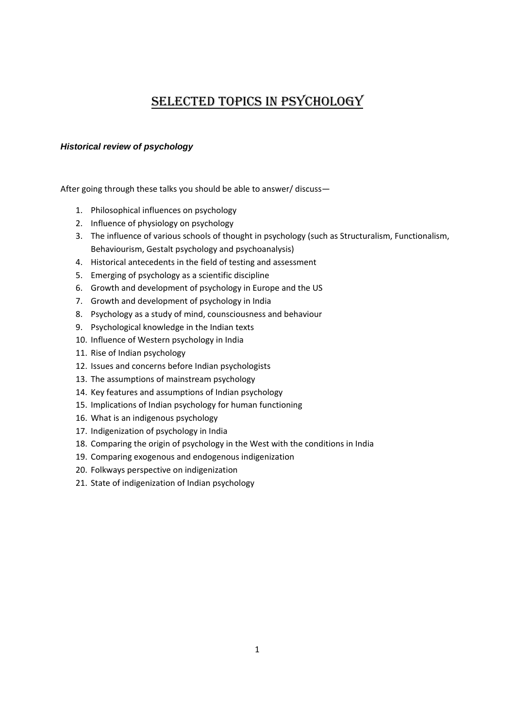# SELECTED TOPICS IN PSYCHOLOGY

# *Historical review of psychology*

- 1. Philosophical influences on psychology
- 2. Influence of physiology on psychology
- 3. The influence of various schools of thought in psychology (such as Structuralism, Functionalism, Behaviourism, Gestalt psychology and psychoanalysis)
- 4. Historical antecedents in the field of testing and assessment
- 5. Emerging of psychology as a scientific discipline
- 6. Growth and development of psychology in Europe and the US
- 7. Growth and development of psychology in India
- 8. Psychology as a study of mind, counsciousness and behaviour
- 9. Psychological knowledge in the Indian texts
- 10. Influence of Western psychology in India
- 11. Rise of Indian psychology
- 12. Issues and concerns before Indian psychologists
- 13. The assumptions of mainstream psychology
- 14. Key features and assumptions of Indian psychology
- 15. Implications of Indian psychology for human functioning
- 16. What is an indigenous psychology
- 17. Indigenization of psychology in India
- 18. Comparing the origin of psychology in the West with the conditions in India
- 19. Comparing exogenous and endogenous indigenization
- 20. Folkways perspective on indigenization
- 21. State of indigenization of Indian psychology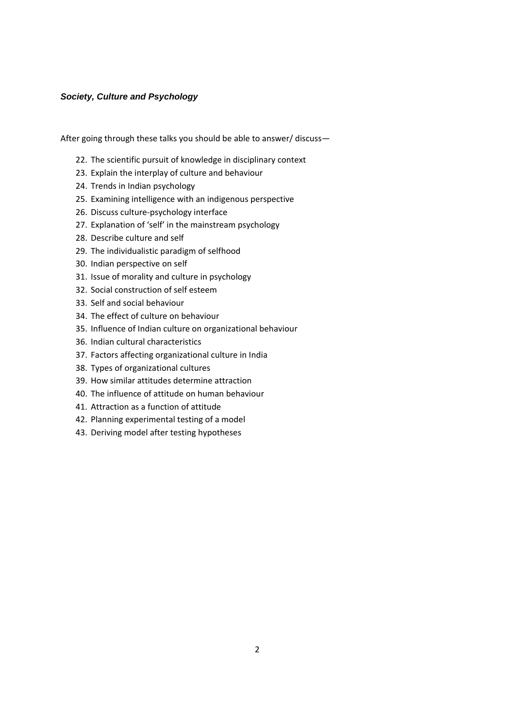## *Society, Culture and Psychology*

- 22. The scientific pursuit of knowledge in disciplinary context
- 23. Explain the interplay of culture and behaviour
- 24. Trends in Indian psychology
- 25. Examining intelligence with an indigenous perspective
- 26. Discuss culture‐psychology interface
- 27. Explanation of 'self' in the mainstream psychology
- 28. Describe culture and self
- 29. The individualistic paradigm of selfhood
- 30. Indian perspective on self
- 31. Issue of morality and culture in psychology
- 32. Social construction of self esteem
- 33. Self and social behaviour
- 34. The effect of culture on behaviour
- 35. Influence of Indian culture on organizational behaviour
- 36. Indian cultural characteristics
- 37. Factors affecting organizational culture in India
- 38. Types of organizational cultures
- 39. How similar attitudes determine attraction
- 40. The influence of attitude on human behaviour
- 41. Attraction as a function of attitude
- 42. Planning experimental testing of a model
- 43. Deriving model after testing hypotheses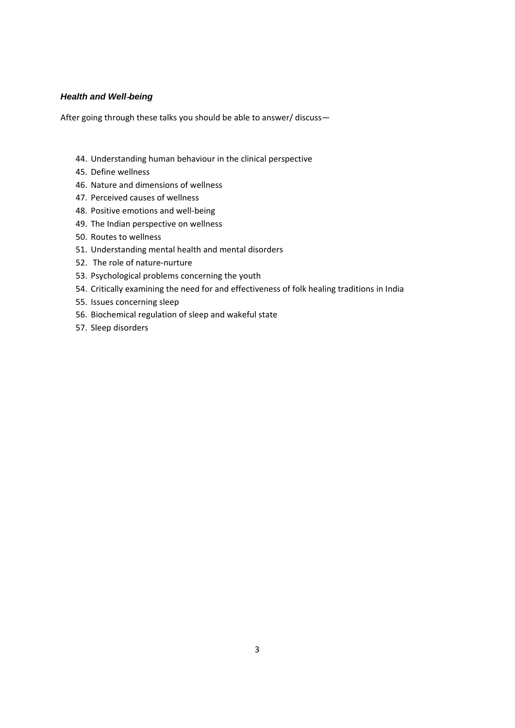### *Health and Well*‐*being*

- 44. Understanding human behaviour in the clinical perspective
- 45. Define wellness
- 46. Nature and dimensions of wellness
- 47. Perceived causes of wellness
- 48. Positive emotions and well‐being
- 49. The Indian perspective on wellness
- 50. Routes to wellness
- 51. Understanding mental health and mental disorders
- 52. The role of nature‐nurture
- 53. Psychological problems concerning the youth
- 54. Critically examining the need for and effectiveness of folk healing traditions in India
- 55. Issues concerning sleep
- 56. Biochemical regulation of sleep and wakeful state
- 57. Sleep disorders